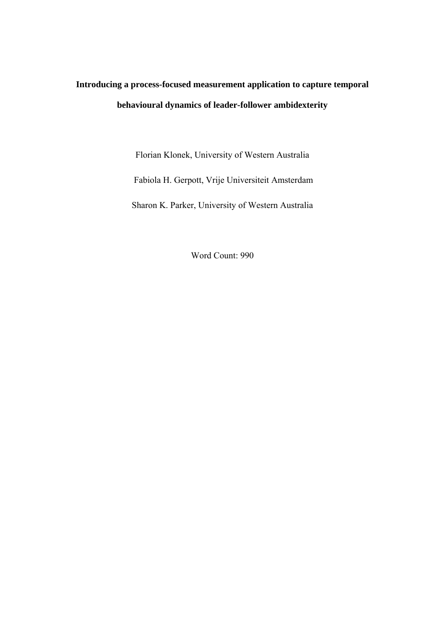# **Introducing a process-focused measurement application to capture temporal behavioural dynamics of leader-follower ambidexterity**

Florian Klonek, University of Western Australia

Fabiola H. Gerpott, Vrije Universiteit Amsterdam

Sharon K. Parker, University of Western Australia

Word Count: 990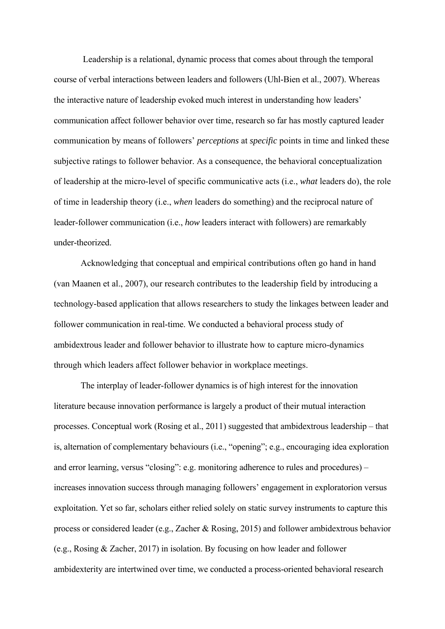Leadership is a relational, dynamic process that comes about through the temporal course of verbal interactions between leaders and followers (Uhl-Bien et al., 2007). Whereas the interactive nature of leadership evoked much interest in understanding how leaders' communication affect follower behavior over time, research so far has mostly captured leader communication by means of followers' *perceptions* at *specific* points in time and linked these subjective ratings to follower behavior. As a consequence, the behavioral conceptualization of leadership at the micro-level of specific communicative acts (i.e., *what* leaders do), the role of time in leadership theory (i.e., *when* leaders do something) and the reciprocal nature of leader-follower communication (i.e., *how* leaders interact with followers) are remarkably under-theorized.

Acknowledging that conceptual and empirical contributions often go hand in hand (van Maanen et al., 2007), our research contributes to the leadership field by introducing a technology-based application that allows researchers to study the linkages between leader and follower communication in real-time. We conducted a behavioral process study of ambidextrous leader and follower behavior to illustrate how to capture micro-dynamics through which leaders affect follower behavior in workplace meetings.

The interplay of leader-follower dynamics is of high interest for the innovation literature because innovation performance is largely a product of their mutual interaction processes. Conceptual work (Rosing et al., 2011) suggested that ambidextrous leadership – that is, alternation of complementary behaviours (i.e., "opening"; e.g., encouraging idea exploration and error learning, versus "closing": e.g. monitoring adherence to rules and procedures) – increases innovation success through managing followers' engagement in exploratorion versus exploitation. Yet so far, scholars either relied solely on static survey instruments to capture this process or considered leader (e.g., Zacher & Rosing, 2015) and follower ambidextrous behavior (e.g., Rosing & Zacher, 2017) in isolation. By focusing on how leader and follower ambidexterity are intertwined over time, we conducted a process-oriented behavioral research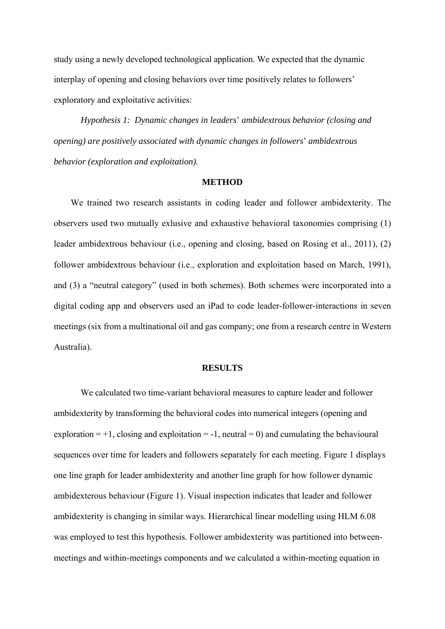study using a newly developed technological application. We expected that the dynamic interplay of opening and closing behaviors over time positively relates to followers' exploratory and exploitative activities:

*Hypothesis 1: Dynamic changes in leaders*' *ambidextrous behavior (closing and opening) are positively associated with dynamic changes in followers*' *ambidextrous behavior (exploration and exploitation).* 

#### **METHOD**

We trained two research assistants in coding leader and follower ambidexterity. The observers used two mutually exlusive and exhaustive behavioral taxonomies comprising (1) leader ambidextrous behaviour (i.e., opening and closing, based on Rosing et al., 2011), (2) follower ambidextrous behaviour (i.e., exploration and exploitation based on March, 1991), and (3) a "neutral category" (used in both schemes). Both schemes were incorporated into a digital coding app and observers used an iPad to code leader-follower-interactions in seven meetings (six from a multinational oil and gas company; one from a research centre in Western Australia).

#### **RESULTS**

 We calculated two time-variant behavioral measures to capture leader and follower ambidexterity by transforming the behavioral codes into numerical integers (opening and exploration  $= +1$ , closing and exploitation  $= -1$ , neutral  $= 0$ ) and cumulating the behavioural sequences over time for leaders and followers separately for each meeting. Figure 1 displays one line graph for leader ambidexterity and another line graph for how follower dynamic ambidexterous behaviour (Figure 1). Visual inspection indicates that leader and follower ambidexterity is changing in similar ways. Hierarchical linear modelling using HLM 6.08 was employed to test this hypothesis. Follower ambidexterity was partitioned into betweenmeetings and within-meetings components and we calculated a within-meeting equation in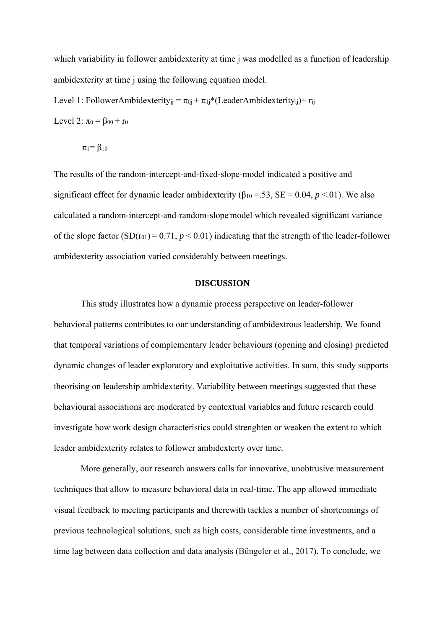which variability in follower ambidexterity at time j was modelled as a function of leadership ambidexterity at time j using the following equation model.

Level 1: FollowerAmbidexterity<sub>ij</sub> =  $\pi_{0i} + \pi_{1i}$ <sup>\*</sup>(LeaderAmbidexterity<sub>ij</sub>)+ r<sub>ij</sub> Level 2:  $\pi_0 = \beta_{00} + r_0$ 

$$
\pi_1 = \beta_{10}
$$

The results of the random-intercept-and-fixed-slope-model indicated a positive and significant effect for dynamic leader ambidexterity ( $\beta_{10} = .53$ , SE = 0.04, *p* <.01). We also calculated a random-intercept-and-random-slope model which revealed significant variance of the slope factor  $(SD(r_{01}) = 0.71, p < 0.01)$  indicating that the strength of the leader-follower ambidexterity association varied considerably between meetings.

#### **DISCUSSION**

This study illustrates how a dynamic process perspective on leader-follower behavioral patterns contributes to our understanding of ambidextrous leadership. We found that temporal variations of complementary leader behaviours (opening and closing) predicted dynamic changes of leader exploratory and exploitative activities. In sum, this study supports theorising on leadership ambidexterity. Variability between meetings suggested that these behavioural associations are moderated by contextual variables and future research could investigate how work design characteristics could strenghten or weaken the extent to which leader ambidexterity relates to follower ambidexterty over time.

More generally, our research answers calls for innovative, unobtrusive measurement techniques that allow to measure behavioral data in real-time. The app allowed immediate visual feedback to meeting participants and therewith tackles a number of shortcomings of previous technological solutions, such as high costs, considerable time investments, and a time lag between data collection and data analysis (Büngeler et al., 2017). To conclude, we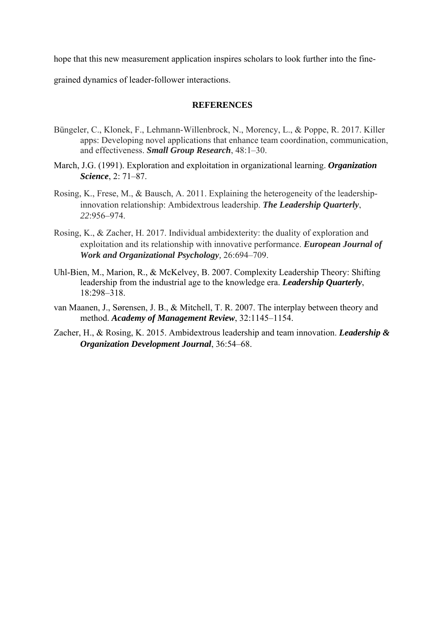hope that this new measurement application inspires scholars to look further into the fine-

grained dynamics of leader-follower interactions.

### **REFERENCES**

- Büngeler, C., Klonek, F., Lehmann-Willenbrock, N., Morency, L., & Poppe, R. 2017. Killer apps: Developing novel applications that enhance team coordination, communication, and effectiveness. *Small Group Research*, 48:1–30.
- March, J.G. (1991). Exploration and exploitation in organizational learning. *Organization Science*, 2: 71–87.
- Rosing, K., Frese, M., & Bausch, A. 2011. Explaining the heterogeneity of the leadershipinnovation relationship: Ambidextrous leadership. *The Leadership Quarterly*, *22*:956–974.
- Rosing, K., & Zacher, H. 2017. Individual ambidexterity: the duality of exploration and exploitation and its relationship with innovative performance. *European Journal of Work and Organizational Psychology,* 26:694–709.
- Uhl-Bien, M., Marion, R., & McKelvey, B. 2007. Complexity Leadership Theory: Shifting leadership from the industrial age to the knowledge era. *Leadership Quarterly*, 18:298–318.
- van Maanen, J., Sørensen, J. B., & Mitchell, T. R. 2007. The interplay between theory and method. *Academy of Management Review*, 32:1145–1154.
- Zacher, H., & Rosing, K. 2015. Ambidextrous leadership and team innovation. *Leadership & Organization Development Journal*, 36:54–68.